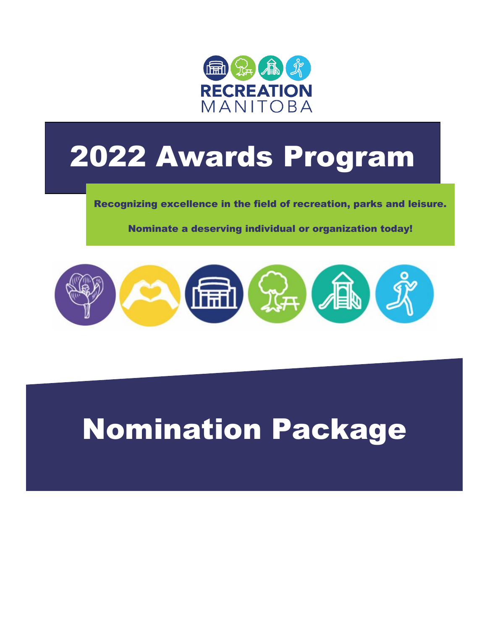

# 2022 Awards Program

Recognizing excellence in the field of recreation, parks and leisure.

Nominate a deserving individual or organization today!



# Nomination Package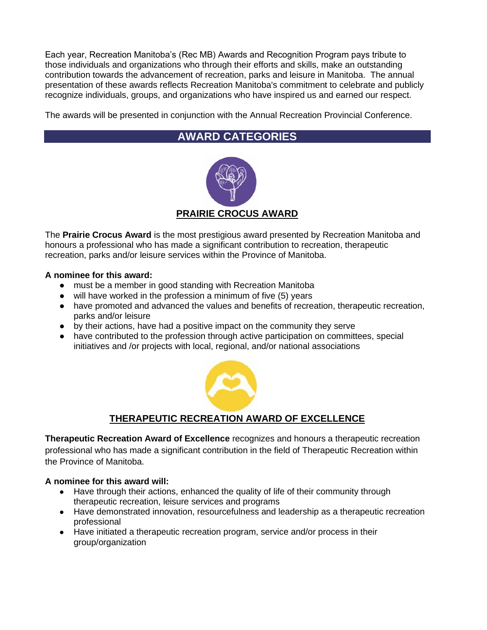Each year, Recreation Manitoba's (Rec MB) Awards and Recognition Program pays tribute to those individuals and organizations who through their efforts and skills, make an outstanding contribution towards the advancement of recreation, parks and leisure in Manitoba. The annual presentation of these awards reflects Recreation Manitoba's commitment to celebrate and publicly recognize individuals, groups, and organizations who have inspired us and earned our respect.

The awards will be presented in conjunction with the Annual Recreation Provincial Conference.

# **AWARD CATEGORIES**



The **Prairie Crocus Award** is the most prestigious award presented by Recreation Manitoba and honours a professional who has made a significant contribution to recreation, therapeutic recreation, parks and/or leisure services within the Province of Manitoba.

#### **A nominee for this award:**

- must be a member in good standing with Recreation Manitoba
- will have worked in the profession a minimum of five (5) years
- have promoted and advanced the values and benefits of recreation, therapeutic recreation, parks and/or leisure
- by their actions, have had a positive impact on the community they serve
- have contributed to the profession through active participation on committees, special initiatives and /or projects with local, regional, and/or national associations



#### **THERAPEUTIC RECREATION AWARD OF EXCELLENCE**

**Therapeutic Recreation Award of Excellence** recognizes and honours a therapeutic recreation professional who has made a significant contribution in the field of Therapeutic Recreation within the Province of Manitoba.

#### **A nominee for this award will:**

- Have through their actions, enhanced the quality of life of their community through therapeutic recreation, leisure services and programs
- Have demonstrated innovation, resourcefulness and leadership as a therapeutic recreation professional
- Have initiated a therapeutic recreation program, service and/or process in their group/organization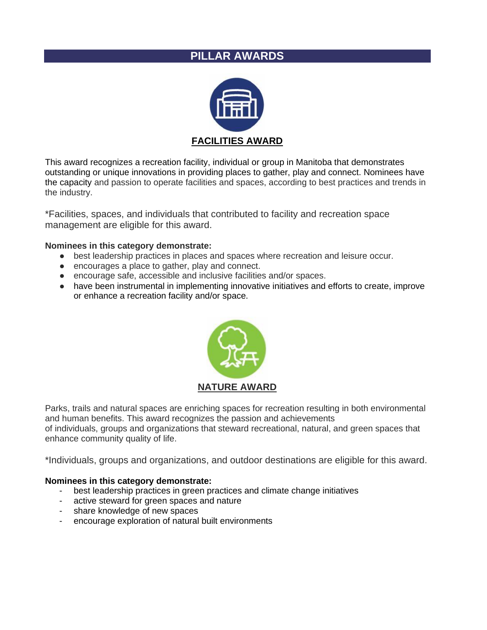#### **PILLAR AWARDS**



This award recognizes a recreation facility, individual or group in Manitoba that demonstrates outstanding or unique innovations in providing places to gather, play and connect. Nominees have the capacity and passion to operate facilities and spaces, according to best practices and trends in the industry.

\*Facilities, spaces, and individuals that contributed to facility and recreation space management are eligible for this award.

#### **Nominees in this category demonstrate:**

- best leadership practices in places and spaces where recreation and leisure occur.
- encourages a place to gather, play and connect.
- encourage safe, accessible and inclusive facilities and/or spaces.
- have been instrumental in implementing innovative initiatives and efforts to create, improve or enhance a recreation facility and/or space.



Parks, trails and natural spaces are enriching spaces for recreation resulting in both environmental and human benefits. This award recognizes the passion and achievements of individuals, groups and organizations that steward recreational, natural, and green spaces that enhance community quality of life.

\*Individuals, groups and organizations, and outdoor destinations are eligible for this award.

#### **Nominees in this category demonstrate:**

- best leadership practices in green practices and climate change initiatives
- active steward for green spaces and nature
- share knowledge of new spaces
- encourage exploration of natural built environments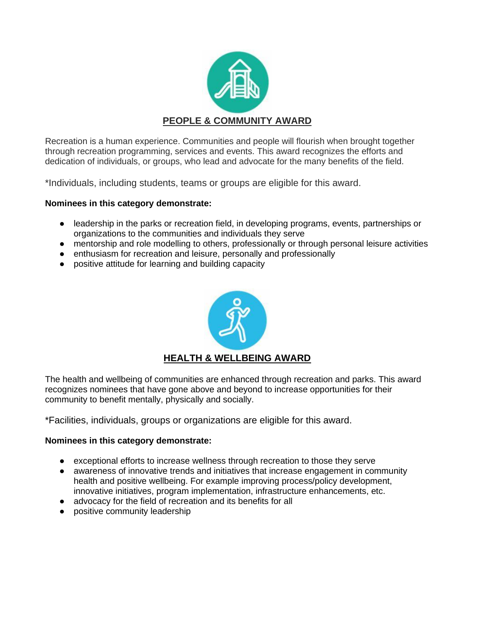![](_page_3_Picture_0.jpeg)

Recreation is a human experience. Communities and people will flourish when brought together through recreation programming, services and events. This award recognizes the efforts and dedication of individuals, or groups, who lead and advocate for the many benefits of the field.

\*Individuals, including students, teams or groups are eligible for this award.

#### **Nominees in this category demonstrate:**

- leadership in the parks or recreation field, in developing programs, events, partnerships or organizations to the communities and individuals they serve
- mentorship and role modelling to others, professionally or through personal leisure activities
- enthusiasm for recreation and leisure, personally and professionally
- positive attitude for learning and building capacity

![](_page_3_Picture_8.jpeg)

The health and wellbeing of communities are enhanced through recreation and parks. This award recognizes nominees that have gone above and beyond to increase opportunities for their community to benefit mentally, physically and socially.

\*Facilities, individuals, groups or organizations are eligible for this award.

#### **Nominees in this category demonstrate:**

- exceptional efforts to increase wellness through recreation to those they serve
- awareness of innovative trends and initiatives that increase engagement in community health and positive wellbeing. For example improving process/policy development, innovative initiatives, program implementation, infrastructure enhancements, etc.
- advocacy for the field of recreation and its benefits for all
- positive community leadership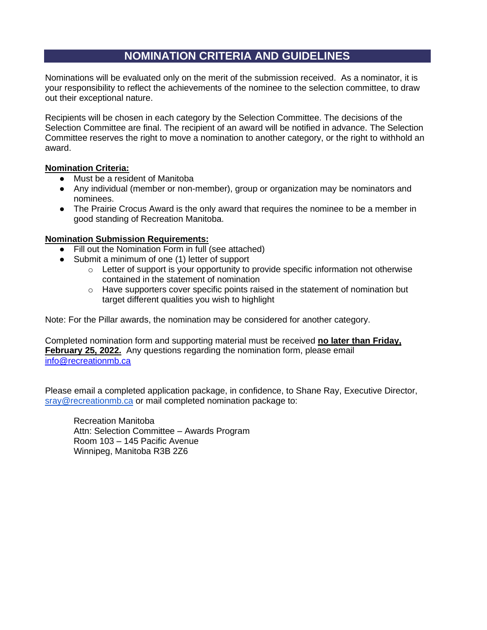### **NOMINATION CRITERIA AND GUIDELINES**

Nominations will be evaluated only on the merit of the submission received. As a nominator, it is your responsibility to reflect the achievements of the nominee to the selection committee, to draw out their exceptional nature.

Recipients will be chosen in each category by the Selection Committee. The decisions of the Selection Committee are final. The recipient of an award will be notified in advance. The Selection Committee reserves the right to move a nomination to another category, or the right to withhold an award.

#### **Nomination Criteria:**

- Must be a resident of Manitoba
- Any individual (member or non-member), group or organization may be nominators and nominees.
- The Prairie Crocus Award is the only award that requires the nominee to be a member in good standing of Recreation Manitoba.

#### **Nomination Submission Requirements:**

- Fill out the Nomination Form in full (see attached)
- Submit a minimum of one (1) letter of support
	- $\circ$  Letter of support is your opportunity to provide specific information not otherwise contained in the statement of nomination
	- $\circ$  Have supporters cover specific points raised in the statement of nomination but target different qualities you wish to highlight

Note: For the Pillar awards, the nomination may be considered for another category.

Completed nomination form and supporting material must be received **no later than Friday, February 25, 2022.** Any questions regarding the nomination form, please email [info@recreationmb.ca](mailto:info@recreationmb.ca)

Please email a completed application package, in confidence, to Shane Ray, Executive Director, [sray@recreationmb.ca](mailto:sray@recreationmb.ca) or mail completed nomination package to:

Recreation Manitoba Attn: Selection Committee – Awards Program Room 103 – 145 Pacific Avenue Winnipeg, Manitoba R3B 2Z6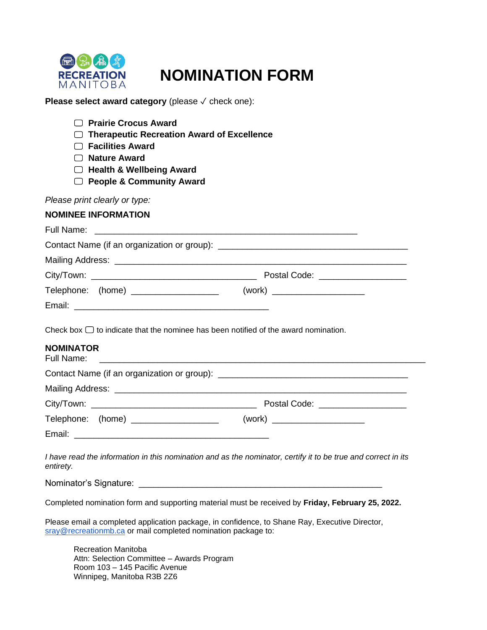![](_page_5_Picture_0.jpeg)

# **NOMINATION FORM**

**Please select award category** (please √ check one):

| <b>Prairie Crocus Award</b><br><b>Therapeutic Recreation Award of Excellence</b><br><b>Facilities Award</b><br><b>Nature Award</b><br><b>Health &amp; Wellbeing Award</b><br><b>People &amp; Community Award</b>                            |                                                                                                               |
|---------------------------------------------------------------------------------------------------------------------------------------------------------------------------------------------------------------------------------------------|---------------------------------------------------------------------------------------------------------------|
| Please print clearly or type:                                                                                                                                                                                                               |                                                                                                               |
| <b>NOMINEE INFORMATION</b>                                                                                                                                                                                                                  |                                                                                                               |
|                                                                                                                                                                                                                                             |                                                                                                               |
|                                                                                                                                                                                                                                             |                                                                                                               |
|                                                                                                                                                                                                                                             |                                                                                                               |
|                                                                                                                                                                                                                                             |                                                                                                               |
|                                                                                                                                                                                                                                             | Telephone: (home) _____________________   (work) _____________________                                        |
|                                                                                                                                                                                                                                             |                                                                                                               |
| <b>NOMINATOR</b><br>Full Name:                                                                                                                                                                                                              |                                                                                                               |
|                                                                                                                                                                                                                                             |                                                                                                               |
|                                                                                                                                                                                                                                             |                                                                                                               |
|                                                                                                                                                                                                                                             | Telephone: (home) _____________________   (work) _____________________                                        |
| entirety.<br>Nominator's Signature: example and the state of the state of the state of the state of the state of the state of the state of the state of the state of the state of the state of the state of the state of the state of the s | I have read the information in this nomination and as the nominator, certify it to be true and correct in its |
|                                                                                                                                                                                                                                             | Completed nomination form and supporting material must be received by Friday, February 25, 2022.              |
| sray@recreationmb.ca or mail completed nomination package to:                                                                                                                                                                               | Please email a completed application package, in confidence, to Shane Ray, Executive Director,                |
| <b>Recreation Manitoba</b><br>Attn: Selection Committee - Awards Program<br>Room 103 - 145 Pacific Avenue                                                                                                                                   |                                                                                                               |

Winnipeg, Manitoba R3B 2Z6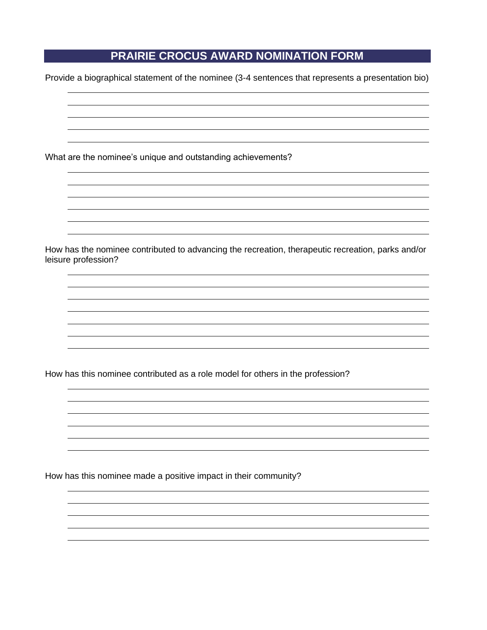# **PRAIRIE CROCUS AWARD NOMINATION FORM**

Provide a biographical statement of the nominee (3-4 sentences that represents a presentation bio)

What are the nominee's unique and outstanding achievements?

How has the nominee contributed to advancing the recreation, therapeutic recreation, parks and/or leisure profession?

How has this nominee contributed as a role model for others in the profession?

How has this nominee made a positive impact in their community?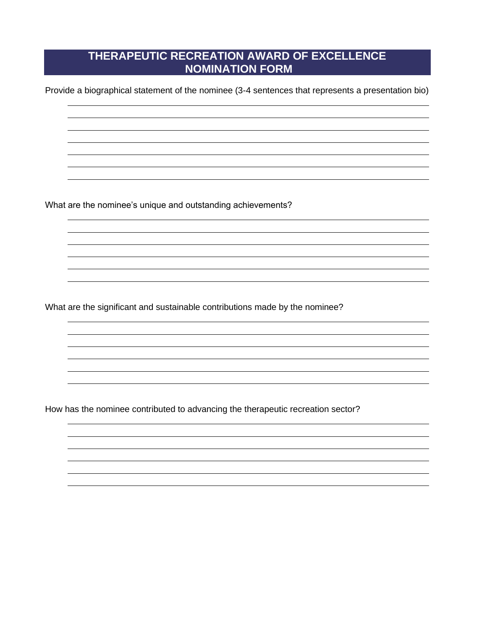# **THERAPEUTIC RECREATION AWARD OF EXCELLENCE NOMINATION FORM**

Provide a biographical statement of the nominee (3-4 sentences that represents a presentation bio)

What are the nominee's unique and outstanding achievements?

What are the significant and sustainable contributions made by the nominee?

How has the nominee contributed to advancing the therapeutic recreation sector?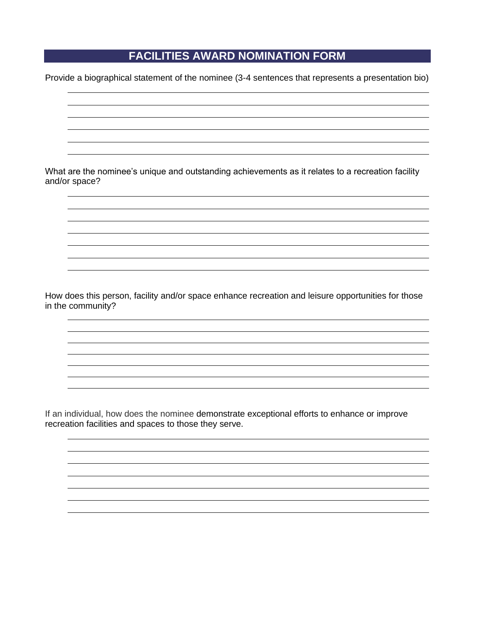## **FACILITIES AWARD NOMINATION FORM**

Provide a biographical statement of the nominee (3-4 sentences that represents a presentation bio)

What are the nominee's unique and outstanding achievements as it relates to a recreation facility and/or space?

How does this person, facility and/or space enhance recreation and leisure opportunities for those in the community?

If an individual, how does the nominee demonstrate exceptional efforts to enhance or improve recreation facilities and spaces to those they serve.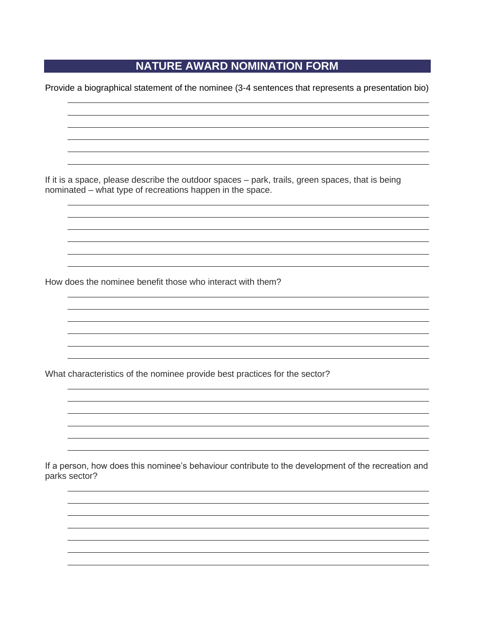### **NATURE AWARD NOMINATION FORM**

Provide a biographical statement of the nominee (3-4 sentences that represents a presentation bio)

If it is a space, please describe the outdoor spaces – park, trails, green spaces, that is being nominated – what type of recreations happen in the space.

How does the nominee benefit those who interact with them?

What characteristics of the nominee provide best practices for the sector?

If a person, how does this nominee's behaviour contribute to the development of the recreation and parks sector?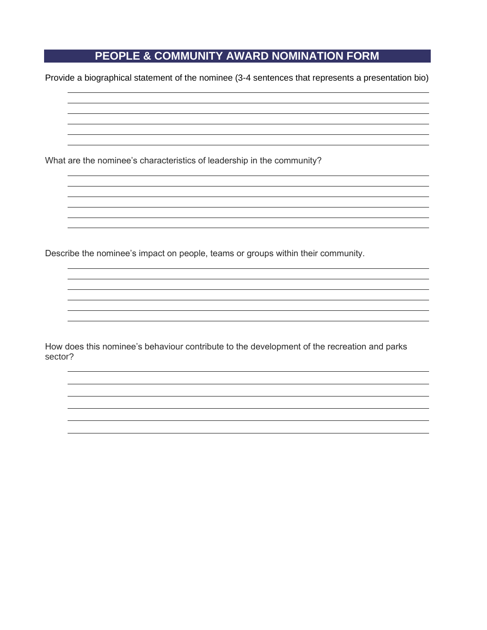# **PEOPLE & COMMUNITY AWARD NOMINATION FORM**

Provide a biographical statement of the nominee (3-4 sentences that represents a presentation bio)

What are the nominee's characteristics of leadership in the community?

Describe the nominee's impact on people, teams or groups within their community.

How does this nominee's behaviour contribute to the development of the recreation and parks sector?